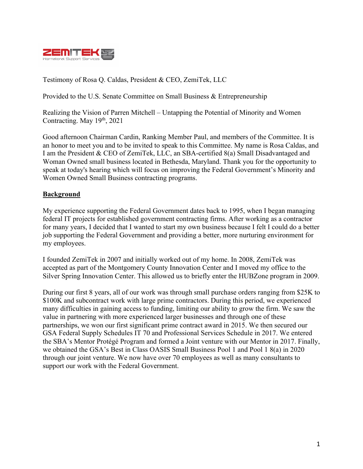

Testimony of Rosa Q. Caldas, President & CEO, ZemiTek, LLC

Provided to the U.S. Senate Committee on Small Business & Entrepreneurship

Realizing the Vision of Parren Mitchell – Untapping the Potential of Minority and Women Contracting. May 19<sup>th</sup>, 2021

Good afternoon Chairman Cardin, Ranking Member Paul, and members of the Committee. It is an honor to meet you and to be invited to speak to this Committee. My name is Rosa Caldas, and I am the President & CEO of ZemiTek, LLC, an SBA-certified 8(a) Small Disadvantaged and Woman Owned small business located in Bethesda, Maryland. Thank you for the opportunity to speak at today's hearing which will focus on improving the Federal Government's Minority and Women Owned Small Business contracting programs.

#### **Background**

My experience supporting the Federal Government dates back to 1995, when I began managing federal IT projects for established government contracting firms. After working as a contractor for many years, I decided that I wanted to start my own business because I felt I could do a better job supporting the Federal Government and providing a better, more nurturing environment for my employees.

I founded ZemiTek in 2007 and initially worked out of my home. In 2008, ZemiTek was accepted as part of the Montgomery County Innovation Center and I moved my office to the Silver Spring Innovation Center. This allowed us to briefly enter the HUBZone program in 2009.

During our first 8 years, all of our work was through small purchase orders ranging from \$25K to \$100K and subcontract work with large prime contractors. During this period, we experienced many difficulties in gaining access to funding, limiting our ability to grow the firm. We saw the value in partnering with more experienced larger businesses and through one of these partnerships, we won our first significant prime contract award in 2015. We then secured our GSA Federal Supply Schedules IT 70 and Professional Services Schedule in 2017. We entered the SBA's Mentor Protégé Program and formed a Joint venture with our Mentor in 2017. Finally, we obtained the GSA's Best in Class OASIS Small Business Pool 1 and Pool 1 8(a) in 2020 through our joint venture. We now have over 70 employees as well as many consultants to support our work with the Federal Government.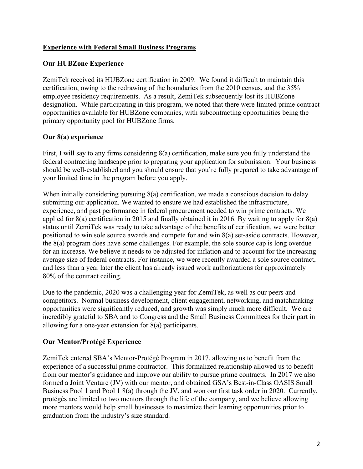## **Experience with Federal Small Business Programs**

### **Our HUBZone Experience**

ZemiTek received its HUBZone certification in 2009. We found it difficult to maintain this certification, owing to the redrawing of the boundaries from the 2010 census, and the 35% employee residency requirements. As a result, ZemiTek subsequently lost its HUBZone designation. While participating in this program, we noted that there were limited prime contract opportunities available for HUBZone companies, with subcontracting opportunities being the primary opportunity pool for HUBZone firms.

## **Our 8(a) experience**

First, I will say to any firms considering 8(a) certification, make sure you fully understand the federal contracting landscape prior to preparing your application for submission. Your business should be well-established and you should ensure that you're fully prepared to take advantage of your limited time in the program before you apply.

When initially considering pursuing 8(a) certification, we made a conscious decision to delay submitting our application. We wanted to ensure we had established the infrastructure, experience, and past performance in federal procurement needed to win prime contracts. We applied for 8(a) certification in 2015 and finally obtained it in 2016. By waiting to apply for 8(a) status until ZemiTek was ready to take advantage of the benefits of certification, we were better positioned to win sole source awards and compete for and win 8(a) set-aside contracts. However, the 8(a) program does have some challenges. For example, the sole source cap is long overdue for an increase. We believe it needs to be adjusted for inflation and to account for the increasing average size of federal contracts. For instance, we were recently awarded a sole source contract, and less than a year later the client has already issued work authorizations for approximately 80% of the contract ceiling.

Due to the pandemic, 2020 was a challenging year for ZemiTek, as well as our peers and competitors. Normal business development, client engagement, networking, and matchmaking opportunities were significantly reduced, and growth was simply much more difficult. We are incredibly grateful to SBA and to Congress and the Small Business Committees for their part in allowing for a one-year extension for 8(a) participants.

# **Our Mentor/Protégé Experience**

ZemiTek entered SBA's Mentor-Protégé Program in 2017, allowing us to benefit from the experience of a successful prime contractor. This formalized relationship allowed us to benefit from our mentor's guidance and improve our ability to pursue prime contracts. In 2017 we also formed a Joint Venture (JV) with our mentor, and obtained GSA's Best-in-Class OASIS Small Business Pool 1 and Pool 1 8(a) through the JV, and won our first task order in 2020. Currently, protégés are limited to two mentors through the life of the company, and we believe allowing more mentors would help small businesses to maximize their learning opportunities prior to graduation from the industry's size standard.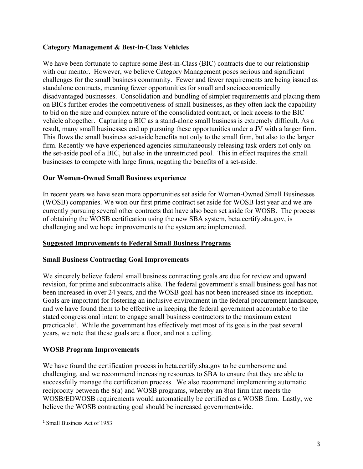### **Category Management & Best-in-Class Vehicles**

We have been fortunate to capture some Best-in-Class (BIC) contracts due to our relationship with our mentor. However, we believe Category Management poses serious and significant challenges for the small business community. Fewer and fewer requirements are being issued as standalone contracts, meaning fewer opportunities for small and socioeconomically disadvantaged businesses. Consolidation and bundling of simpler requirements and placing them on BICs further erodes the competitiveness of small businesses, as they often lack the capability to bid on the size and complex nature of the consolidated contract, or lack access to the BIC vehicle altogether. Capturing a BIC as a stand-alone small business is extremely difficult. As a result, many small businesses end up pursuing these opportunities under a JV with a larger firm. This flows the small business set-aside benefits not only to the small firm, but also to the larger firm. Recently we have experienced agencies simultaneously releasing task orders not only on the set-aside pool of a BIC, but also in the unrestricted pool. This in effect requires the small businesses to compete with large firms, negating the benefits of a set-aside.

## **Our Women-Owned Small Business experience**

In recent years we have seen more opportunities set aside for Women-Owned Small Businesses (WOSB) companies. We won our first prime contract set aside for WOSB last year and we are currently pursuing several other contracts that have also been set aside for WOSB. The process of obtaining the WOSB certification using the new SBA system, beta.certify.sba.gov, is challenging and we hope improvements to the system are implemented.

#### **Suggested Improvements to Federal Small Business Programs**

#### **Small Business Contracting Goal Improvements**

We sincerely believe federal small business contracting goals are due for review and upward revision, for prime and subcontracts alike. The federal government's small business goal has not been increased in over 24 years, and the WOSB goal has not been increased since its inception. Goals are important for fostering an inclusive environment in the federal procurement landscape, and we have found them to be effective in keeping the federal government accountable to the stated congressional intent to engage small business contractors to the maximum extent practicable<sup>1</sup>. While the government has effectively met most of its goals in the past several years, we note that these goals are a floor, and not a ceiling.

# **WOSB Program Improvements**

We have found the certification process in beta.certify.sba.gov to be cumbersome and challenging, and we recommend increasing resources to SBA to ensure that they are able to successfully manage the certification process. We also recommend implementing automatic reciprocity between the 8(a) and WOSB programs, whereby an 8(a) firm that meets the WOSB/EDWOSB requirements would automatically be certified as a WOSB firm. Lastly, we believe the WOSB contracting goal should be increased governmentwide.

<sup>&</sup>lt;sup>1</sup> Small Business Act of 1953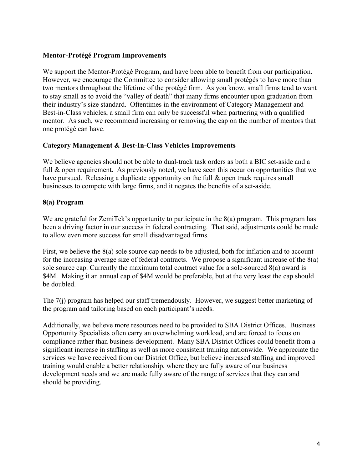### **Mentor-Protégé Program Improvements**

We support the Mentor-Protégé Program, and have been able to benefit from our participation. However, we encourage the Committee to consider allowing small protégés to have more than two mentors throughout the lifetime of the protégé firm. As you know, small firms tend to want to stay small as to avoid the "valley of death" that many firms encounter upon graduation from their industry's size standard. Oftentimes in the environment of Category Management and Best-in-Class vehicles, a small firm can only be successful when partnering with a qualified mentor. As such, we recommend increasing or removing the cap on the number of mentors that one protégé can have.

#### **Category Management & Best-In-Class Vehicles Improvements**

We believe agencies should not be able to dual-track task orders as both a BIC set-aside and a full & open requirement. As previously noted, we have seen this occur on opportunities that we have pursued. Releasing a duplicate opportunity on the full & open track requires small businesses to compete with large firms, and it negates the benefits of a set-aside.

## **8(a) Program**

We are grateful for ZemiTek's opportunity to participate in the 8(a) program. This program has been a driving factor in our success in federal contracting. That said, adjustments could be made to allow even more success for small disadvantaged firms.

First, we believe the 8(a) sole source cap needs to be adjusted, both for inflation and to account for the increasing average size of federal contracts. We propose a significant increase of the 8(a) sole source cap. Currently the maximum total contract value for a sole-sourced 8(a) award is \$4M. Making it an annual cap of \$4M would be preferable, but at the very least the cap should be doubled.

The 7(j) program has helped our staff tremendously. However, we suggest better marketing of the program and tailoring based on each participant's needs.

Additionally, we believe more resources need to be provided to SBA District Offices. Business Opportunity Specialists often carry an overwhelming workload, and are forced to focus on compliance rather than business development. Many SBA District Offices could benefit from a significant increase in staffing as well as more consistent training nationwide. We appreciate the services we have received from our District Office, but believe increased staffing and improved training would enable a better relationship, where they are fully aware of our business development needs and we are made fully aware of the range of services that they can and should be providing.